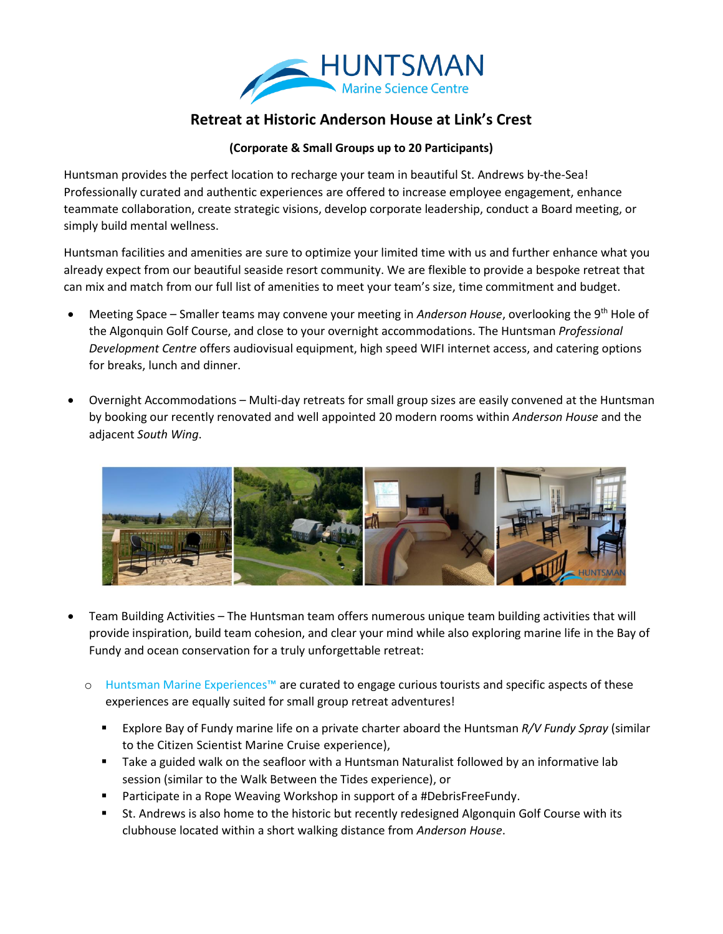

## **Retreat at Historic Anderson House at Link's Crest**

## **(Corporate & Small Groups up to 20 Participants)**

Huntsman provides the perfect location to recharge your team in beautiful St. Andrews by-the-Sea! Professionally curated and authentic experiences are offered to increase employee engagement, enhance teammate collaboration, create strategic visions, develop corporate leadership, conduct a Board meeting, or simply build mental wellness.

Huntsman facilities and amenities are sure to optimize your limited time with us and further enhance what you already expect from our beautiful seaside resort community. We are flexible to provide a bespoke retreat that can mix and match from our full list of amenities to meet your team's size, time commitment and budget.

- Meeting Space Smaller teams may convene your meeting in *Anderson House*, overlooking the 9th Hole of the Algonquin Golf Course, and close to your overnight accommodations. The Huntsman *Professional Development Centre* offers audiovisual equipment, high speed WIFI internet access, and catering options for breaks, lunch and dinner.
- Overnight Accommodations Multi-day retreats for small group sizes are easily convened at the Huntsman by booking our recently renovated and well appointed 20 modern rooms within *Anderson House* and the adjacent *South Wing*.



- Team Building Activities The Huntsman team offers numerous unique team building activities that will provide inspiration, build team cohesion, and clear your mind while also exploring marine life in the Bay of Fundy and ocean conservation for a truly unforgettable retreat:
	- o Huntsman Marine Experiences™ are curated to engage curious tourists and specific aspects of these experiences are equally suited for small group retreat adventures!
		- Explore Bay of Fundy marine life on a private charter aboard the Huntsman *R/V Fundy Spray* (similar to the Citizen Scientist Marine Cruise experience),
		- **Take a guided walk on the seafloor with a Huntsman Naturalist followed by an informative lab** session (similar to the Walk Between the Tides experience), or
		- Participate in a Rope Weaving Workshop in support of a #DebrisFreeFundy.
		- St. Andrews is also home to the historic but recently redesigned Algonquin Golf Course with its clubhouse located within a short walking distance from *Anderson House*.